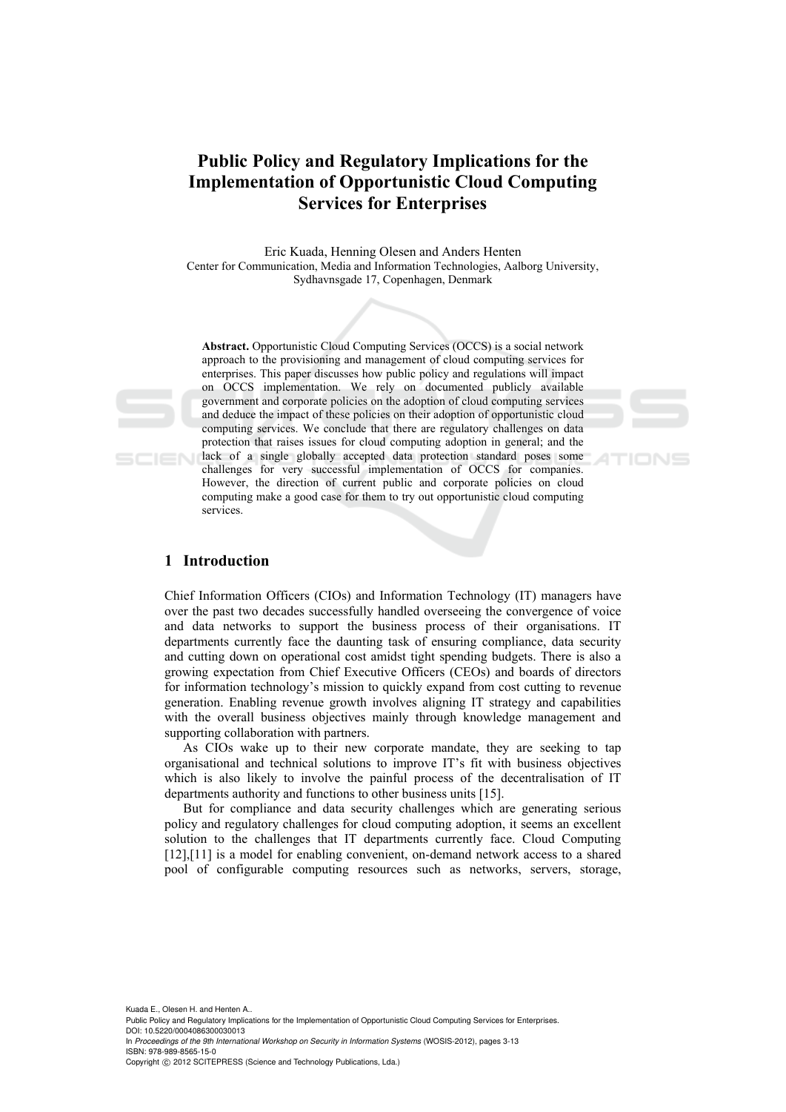# **Public Policy and Regulatory Implications for the Implementation of Opportunistic Cloud Computing Services for Enterprises**

Eric Kuada, Henning Olesen and Anders Henten Center for Communication, Media and Information Technologies, Aalborg University, Sydhavnsgade 17, Copenhagen, Denmark

**Abstract.** Opportunistic Cloud Computing Services (OCCS) is a social network approach to the provisioning and management of cloud computing services for enterprises. This paper discusses how public policy and regulations will impact on OCCS implementation. We rely on documented publicly available government and corporate policies on the adoption of cloud computing services and deduce the impact of these policies on their adoption of opportunistic cloud computing services. We conclude that there are regulatory challenges on data protection that raises issues for cloud computing adoption in general; and the lack of a single globally accepted data protection standard poses some challenges for very successful implementation of OCCS for companies. However, the direction of current public and corporate policies on cloud computing make a good case for them to try out opportunistic cloud computing services.

# **1 Introduction**

SCIEN

Chief Information Officers (CIOs) and Information Technology (IT) managers have over the past two decades successfully handled overseeing the convergence of voice and data networks to support the business process of their organisations. IT departments currently face the daunting task of ensuring compliance, data security and cutting down on operational cost amidst tight spending budgets. There is also a growing expectation from Chief Executive Officers (CEOs) and boards of directors for information technology's mission to quickly expand from cost cutting to revenue generation. Enabling revenue growth involves aligning IT strategy and capabilities with the overall business objectives mainly through knowledge management and supporting collaboration with partners.

As CIOs wake up to their new corporate mandate, they are seeking to tap organisational and technical solutions to improve IT's fit with business objectives which is also likely to involve the painful process of the decentralisation of IT departments authority and functions to other business units [15].

But for compliance and data security challenges which are generating serious policy and regulatory challenges for cloud computing adoption, it seems an excellent solution to the challenges that IT departments currently face. Cloud Computing [12],[11] is a model for enabling convenient, on-demand network access to a shared pool of configurable computing resources such as networks, servers, storage,

Kuada E., Olesen H. and Henten A..

Public Policy and Regulatory Implications for the Implementation of Opportunistic Cloud Computing Services for Enterprises. DOI: 10.5220/0004086300030013

In *Proceedings of the 9th International Workshop on Security in Information Systems* (WOSIS-2012), pages 3-13 ISBN: 978-989-8565-15-0

Copyright © 2012 SCITEPRESS (Science and Technology Publications, Lda.)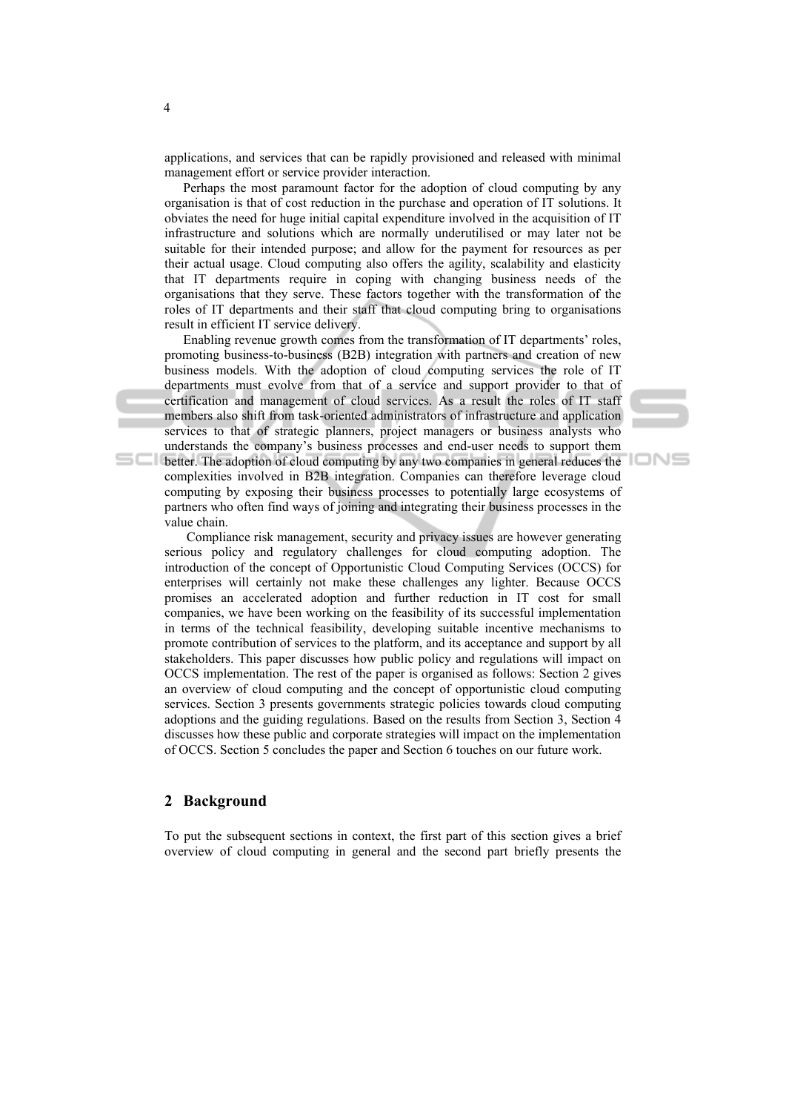applications, and services that can be rapidly provisioned and released with minimal management effort or service provider interaction.

Perhaps the most paramount factor for the adoption of cloud computing by any organisation is that of cost reduction in the purchase and operation of IT solutions. It obviates the need for huge initial capital expenditure involved in the acquisition of IT infrastructure and solutions which are normally underutilised or may later not be suitable for their intended purpose; and allow for the payment for resources as per their actual usage. Cloud computing also offers the agility, scalability and elasticity that IT departments require in coping with changing business needs of the organisations that they serve. These factors together with the transformation of the roles of IT departments and their staff that cloud computing bring to organisations result in efficient IT service delivery.

Enabling revenue growth comes from the transformation of IT departments' roles, promoting business-to-business (B2B) integration with partners and creation of new business models. With the adoption of cloud computing services the role of IT departments must evolve from that of a service and support provider to that of certification and management of cloud services. As a result the roles of IT staff members also shift from task-oriented administrators of infrastructure and application services to that of strategic planners, project managers or business analysts who understands the company's business processes and end-user needs to support them **better.** The adoption of cloud computing by any two companies in general reduces the complexities involved in B2B integration. Companies can therefore leverage cloud computing by exposing their business processes to potentially large ecosystems of partners who often find ways of joining and integrating their business processes in the value chain.

 Compliance risk management, security and privacy issues are however generating serious policy and regulatory challenges for cloud computing adoption. The introduction of the concept of Opportunistic Cloud Computing Services (OCCS) for enterprises will certainly not make these challenges any lighter. Because OCCS promises an accelerated adoption and further reduction in IT cost for small companies, we have been working on the feasibility of its successful implementation in terms of the technical feasibility, developing suitable incentive mechanisms to promote contribution of services to the platform, and its acceptance and support by all stakeholders. This paper discusses how public policy and regulations will impact on OCCS implementation. The rest of the paper is organised as follows: Section 2 gives an overview of cloud computing and the concept of opportunistic cloud computing services. Section 3 presents governments strategic policies towards cloud computing adoptions and the guiding regulations. Based on the results from Section 3, Section 4 discusses how these public and corporate strategies will impact on the implementation of OCCS. Section 5 concludes the paper and Section 6 touches on our future work.

# **2 Background**

To put the subsequent sections in context, the first part of this section gives a brief overview of cloud computing in general and the second part briefly presents the

4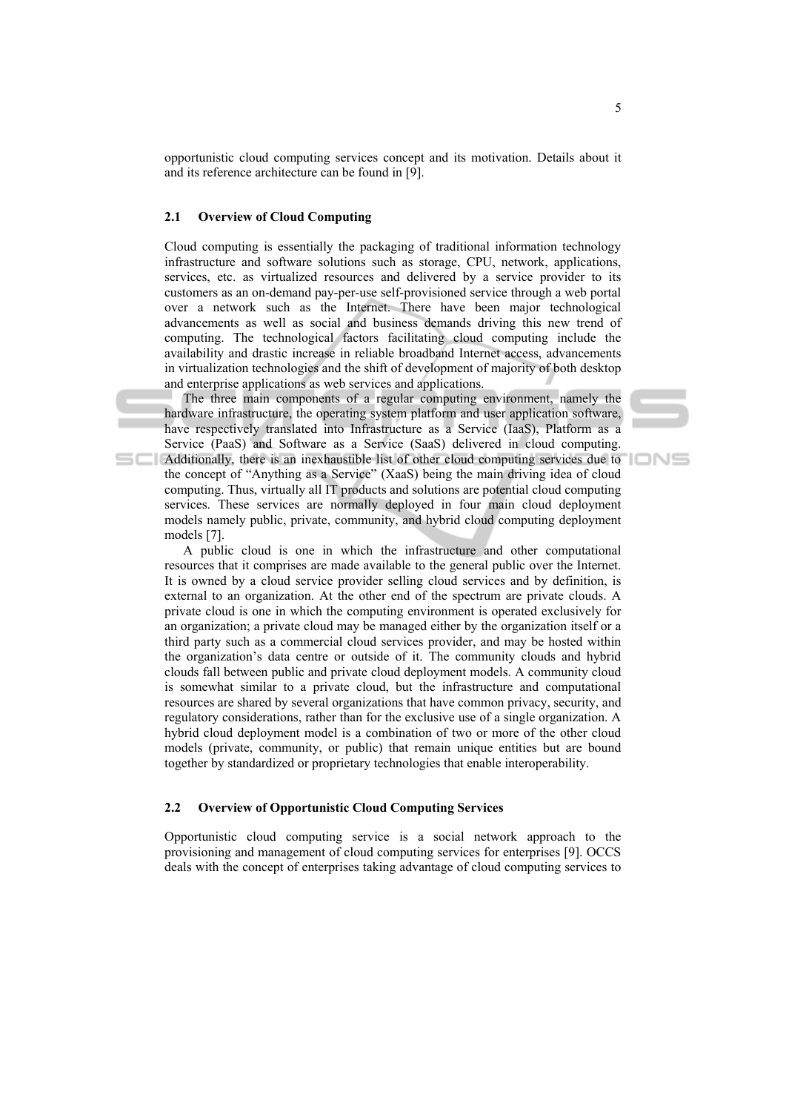opportunistic cloud computing services concept and its motivation. Details about it and its reference architecture can be found in [9].

### **2.1 Overview of Cloud Computing**

Cloud computing is essentially the packaging of traditional information technology infrastructure and software solutions such as storage, CPU, network, applications, services, etc. as virtualized resources and delivered by a service provider to its customers as an on-demand pay-per-use self-provisioned service through a web portal over a network such as the Internet. There have been major technological advancements as well as social and business demands driving this new trend of computing. The technological factors facilitating cloud computing include the availability and drastic increase in reliable broadband Internet access, advancements in virtualization technologies and the shift of development of majority of both desktop and enterprise applications as web services and applications.

The three main components of a regular computing environment, namely the hardware infrastructure, the operating system platform and user application software, have respectively translated into Infrastructure as a Service (IaaS), Platform as a Service (PaaS) and Software as a Service (SaaS) delivered in cloud computing.

Additionally, there is an inexhaustible list of other cloud computing services due to the concept of "Anything as a Service" (XaaS) being the main driving idea of cloud computing. Thus, virtually all IT products and solutions are potential cloud computing services. These services are normally deployed in four main cloud deployment models namely public, private, community, and hybrid cloud computing deployment models [7].

A public cloud is one in which the infrastructure and other computational resources that it comprises are made available to the general public over the Internet. It is owned by a cloud service provider selling cloud services and by definition, is external to an organization. At the other end of the spectrum are private clouds. A private cloud is one in which the computing environment is operated exclusively for an organization; a private cloud may be managed either by the organization itself or a third party such as a commercial cloud services provider, and may be hosted within the organization's data centre or outside of it. The community clouds and hybrid clouds fall between public and private cloud deployment models. A community cloud is somewhat similar to a private cloud, but the infrastructure and computational resources are shared by several organizations that have common privacy, security, and regulatory considerations, rather than for the exclusive use of a single organization. A hybrid cloud deployment model is a combination of two or more of the other cloud models (private, community, or public) that remain unique entities but are bound together by standardized or proprietary technologies that enable interoperability.

## **2.2 Overview of Opportunistic Cloud Computing Services**

Opportunistic cloud computing service is a social network approach to the provisioning and management of cloud computing services for enterprises [9]. OCCS deals with the concept of enterprises taking advantage of cloud computing services to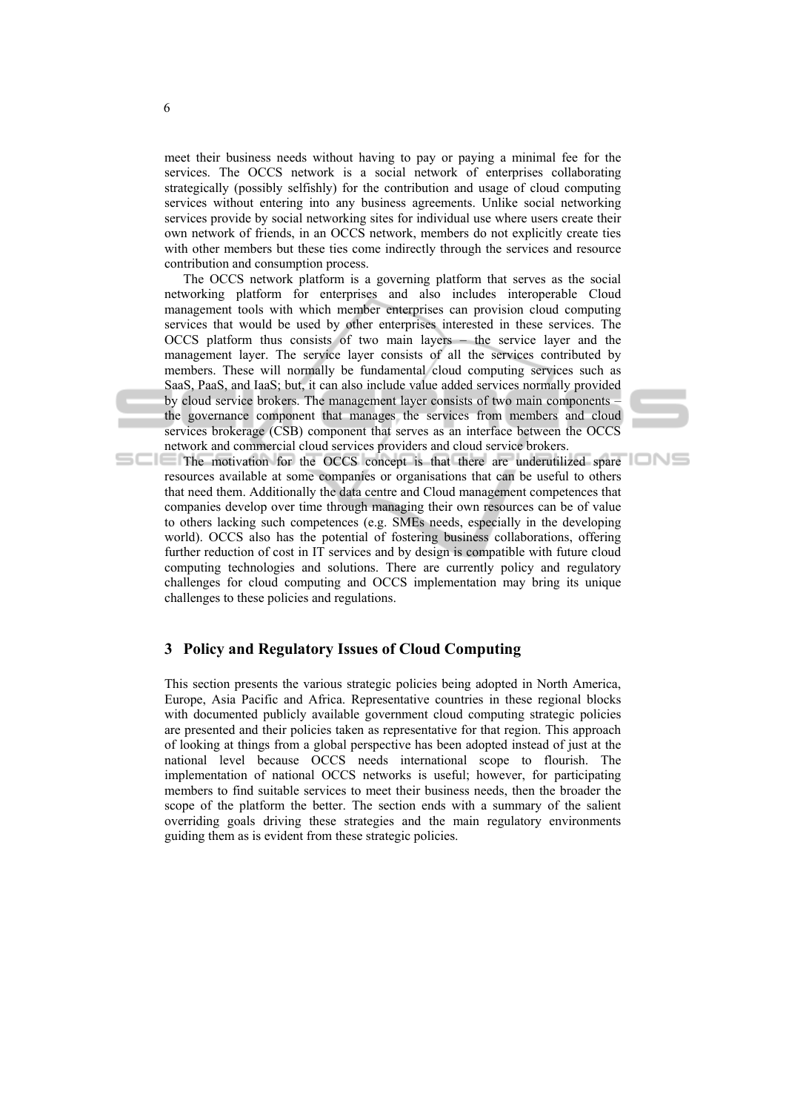meet their business needs without having to pay or paying a minimal fee for the services. The OCCS network is a social network of enterprises collaborating strategically (possibly selfishly) for the contribution and usage of cloud computing services without entering into any business agreements. Unlike social networking services provide by social networking sites for individual use where users create their own network of friends, in an OCCS network, members do not explicitly create ties with other members but these ties come indirectly through the services and resource contribution and consumption process.

The OCCS network platform is a governing platform that serves as the social networking platform for enterprises and also includes interoperable Cloud management tools with which member enterprises can provision cloud computing services that would be used by other enterprises interested in these services. The OCCS platform thus consists of two main layers – the service layer and the management layer. The service layer consists of all the services contributed by members. These will normally be fundamental cloud computing services such as SaaS, PaaS, and IaaS; but, it can also include value added services normally provided by cloud service brokers. The management layer consists of two main components – the governance component that manages the services from members and cloud services brokerage (CSB) component that serves as an interface between the OCCS network and commercial cloud services providers and cloud service brokers.

The motivation for the OCCS concept is that there are underutilized spare resources available at some companies or organisations that can be useful to others that need them. Additionally the data centre and Cloud management competences that companies develop over time through managing their own resources can be of value to others lacking such competences (e.g. SMEs needs, especially in the developing world). OCCS also has the potential of fostering business collaborations, offering further reduction of cost in IT services and by design is compatible with future cloud computing technologies and solutions. There are currently policy and regulatory challenges for cloud computing and OCCS implementation may bring its unique challenges to these policies and regulations.

# **3 Policy and Regulatory Issues of Cloud Computing**

This section presents the various strategic policies being adopted in North America, Europe, Asia Pacific and Africa. Representative countries in these regional blocks with documented publicly available government cloud computing strategic policies are presented and their policies taken as representative for that region. This approach of looking at things from a global perspective has been adopted instead of just at the national level because OCCS needs international scope to flourish. The implementation of national OCCS networks is useful; however, for participating members to find suitable services to meet their business needs, then the broader the scope of the platform the better. The section ends with a summary of the salient overriding goals driving these strategies and the main regulatory environments guiding them as is evident from these strategic policies.

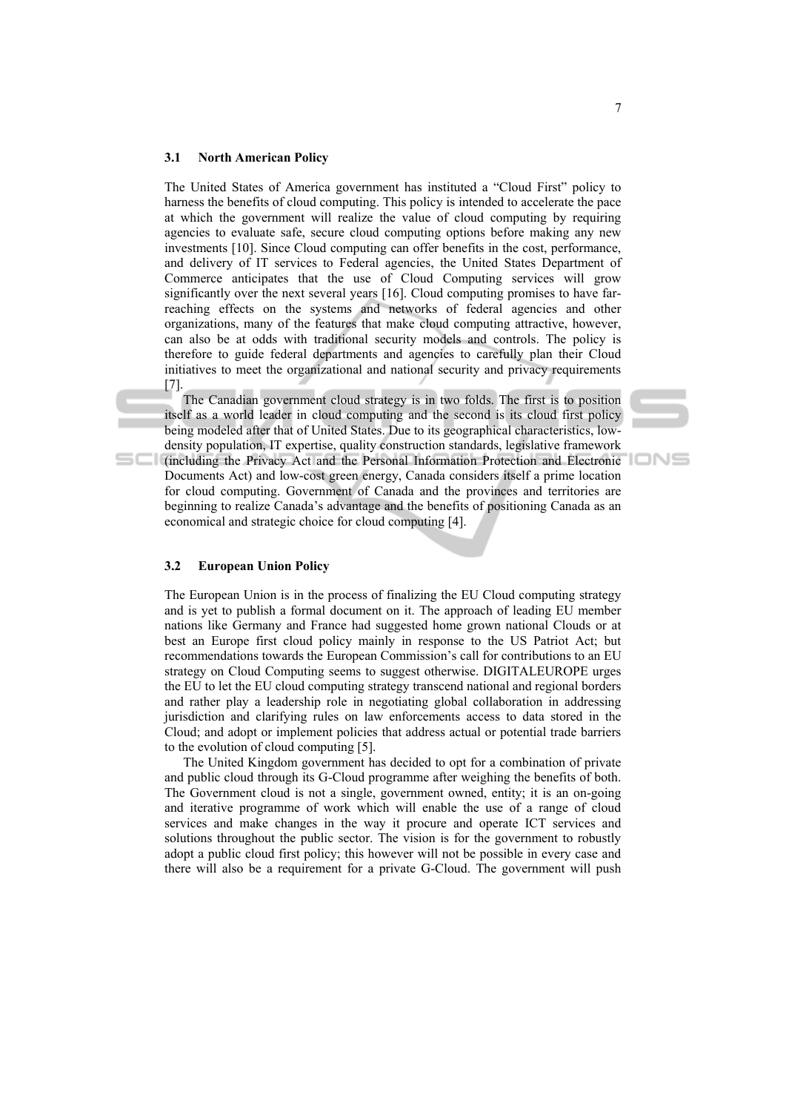#### **3.1 North American Policy**

The United States of America government has instituted a "Cloud First" policy to harness the benefits of cloud computing. This policy is intended to accelerate the pace at which the government will realize the value of cloud computing by requiring agencies to evaluate safe, secure cloud computing options before making any new investments [10]. Since Cloud computing can offer benefits in the cost, performance, and delivery of IT services to Federal agencies, the United States Department of Commerce anticipates that the use of Cloud Computing services will grow significantly over the next several years [16]. Cloud computing promises to have farreaching effects on the systems and networks of federal agencies and other organizations, many of the features that make cloud computing attractive, however, can also be at odds with traditional security models and controls. The policy is therefore to guide federal departments and agencies to carefully plan their Cloud initiatives to meet the organizational and national security and privacy requirements [7].

The Canadian government cloud strategy is in two folds. The first is to position itself as a world leader in cloud computing and the second is its cloud first policy being modeled after that of United States. Due to its geographical characteristics, lowdensity population, IT expertise, quality construction standards, legislative framework

**Example 1** (including the Privacy Act and the Personal Information Protection and Electronic Documents Act) and low-cost green energy, Canada considers itself a prime location for cloud computing. Government of Canada and the provinces and territories are beginning to realize Canada's advantage and the benefits of positioning Canada as an economical and strategic choice for cloud computing [4].

#### **3.2 European Union Policy**

The European Union is in the process of finalizing the EU Cloud computing strategy and is yet to publish a formal document on it. The approach of leading EU member nations like Germany and France had suggested home grown national Clouds or at best an Europe first cloud policy mainly in response to the US Patriot Act; but recommendations towards the European Commission's call for contributions to an EU strategy on Cloud Computing seems to suggest otherwise. DIGITALEUROPE urges the EU to let the EU cloud computing strategy transcend national and regional borders and rather play a leadership role in negotiating global collaboration in addressing jurisdiction and clarifying rules on law enforcements access to data stored in the Cloud; and adopt or implement policies that address actual or potential trade barriers to the evolution of cloud computing [5].

The United Kingdom government has decided to opt for a combination of private and public cloud through its G-Cloud programme after weighing the benefits of both. The Government cloud is not a single, government owned, entity; it is an on-going and iterative programme of work which will enable the use of a range of cloud services and make changes in the way it procure and operate ICT services and solutions throughout the public sector. The vision is for the government to robustly adopt a public cloud first policy; this however will not be possible in every case and there will also be a requirement for a private G-Cloud. The government will push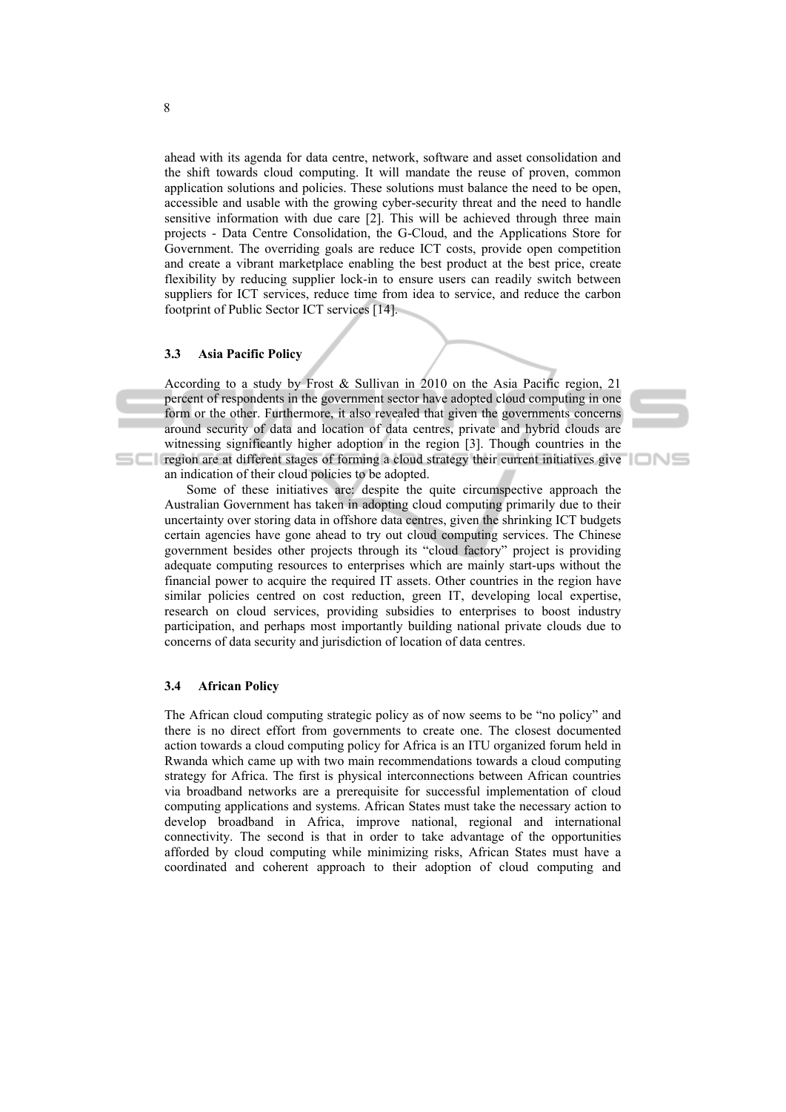ahead with its agenda for data centre, network, software and asset consolidation and the shift towards cloud computing. It will mandate the reuse of proven, common application solutions and policies. These solutions must balance the need to be open, accessible and usable with the growing cyber-security threat and the need to handle sensitive information with due care [2]. This will be achieved through three main projects - Data Centre Consolidation, the G-Cloud, and the Applications Store for Government. The overriding goals are reduce ICT costs, provide open competition and create a vibrant marketplace enabling the best product at the best price, create flexibility by reducing supplier lock-in to ensure users can readily switch between suppliers for ICT services, reduce time from idea to service, and reduce the carbon footprint of Public Sector ICT services [14].

## **3.3 Asia Pacific Policy**

According to a study by Frost & Sullivan in 2010 on the Asia Pacific region, 21 percent of respondents in the government sector have adopted cloud computing in one form or the other. Furthermore, it also revealed that given the governments concerns around security of data and location of data centres, private and hybrid clouds are witnessing significantly higher adoption in the region [3]. Though countries in the region are at different stages of forming a cloud strategy their current initiatives give an indication of their cloud policies to be adopted.

 Some of these initiatives are: despite the quite circumspective approach the Australian Government has taken in adopting cloud computing primarily due to their uncertainty over storing data in offshore data centres, given the shrinking ICT budgets certain agencies have gone ahead to try out cloud computing services. The Chinese government besides other projects through its "cloud factory" project is providing adequate computing resources to enterprises which are mainly start-ups without the financial power to acquire the required IT assets. Other countries in the region have similar policies centred on cost reduction, green IT, developing local expertise, research on cloud services, providing subsidies to enterprises to boost industry participation, and perhaps most importantly building national private clouds due to concerns of data security and jurisdiction of location of data centres.

## **3.4 African Policy**

The African cloud computing strategic policy as of now seems to be "no policy" and there is no direct effort from governments to create one. The closest documented action towards a cloud computing policy for Africa is an ITU organized forum held in Rwanda which came up with two main recommendations towards a cloud computing strategy for Africa. The first is physical interconnections between African countries via broadband networks are a prerequisite for successful implementation of cloud computing applications and systems. African States must take the necessary action to develop broadband in Africa, improve national, regional and international connectivity. The second is that in order to take advantage of the opportunities afforded by cloud computing while minimizing risks, African States must have a coordinated and coherent approach to their adoption of cloud computing and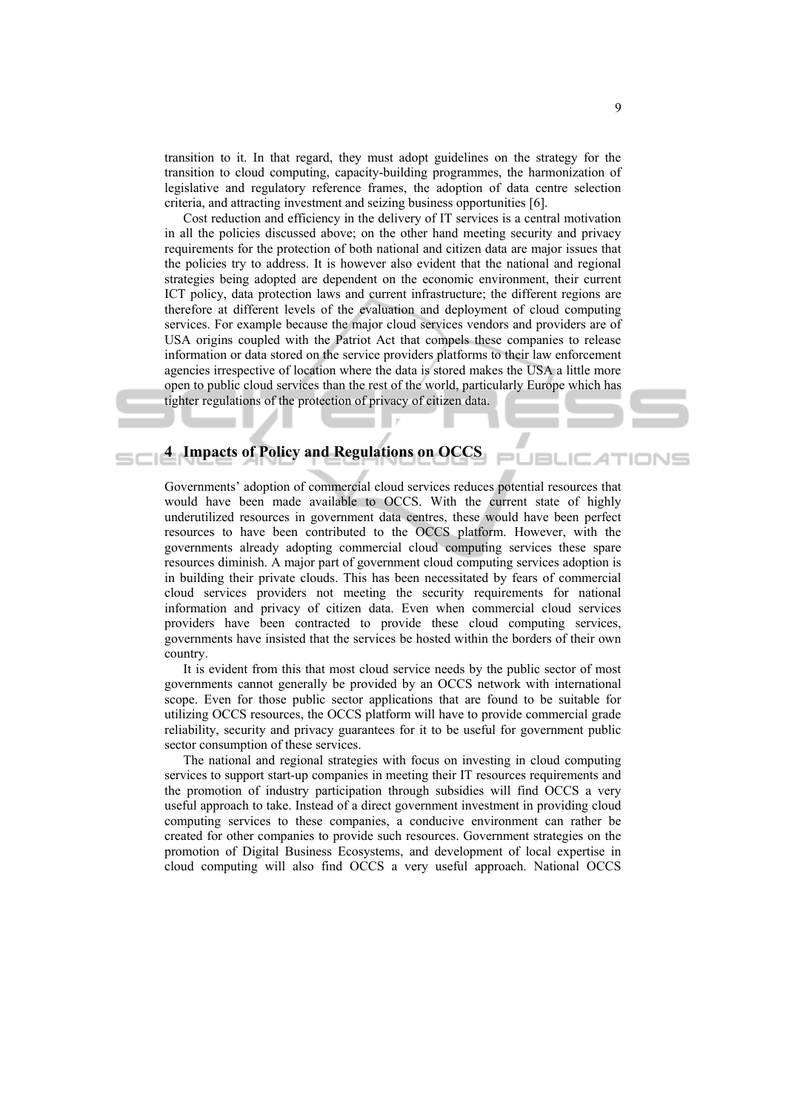transition to it. In that regard, they must adopt guidelines on the strategy for the transition to cloud computing, capacity-building programmes, the harmonization of legislative and regulatory reference frames, the adoption of data centre selection criteria, and attracting investment and seizing business opportunities [6].

Cost reduction and efficiency in the delivery of IT services is a central motivation in all the policies discussed above; on the other hand meeting security and privacy requirements for the protection of both national and citizen data are major issues that the policies try to address. It is however also evident that the national and regional strategies being adopted are dependent on the economic environment, their current ICT policy, data protection laws and current infrastructure; the different regions are therefore at different levels of the evaluation and deployment of cloud computing services. For example because the major cloud services vendors and providers are of USA origins coupled with the Patriot Act that compels these companies to release information or data stored on the service providers platforms to their law enforcement agencies irrespective of location where the data is stored makes the USA a little more open to public cloud services than the rest of the world, particularly Europe which has tighter regulations of the protection of privacy of citizen data.

# **4 Impacts of Policy and Regulations on OCCS**

Governments' adoption of commercial cloud services reduces potential resources that would have been made available to OCCS. With the current state of highly underutilized resources in government data centres, these would have been perfect resources to have been contributed to the OCCS platform. However, with the governments already adopting commercial cloud computing services these spare resources diminish. A major part of government cloud computing services adoption is in building their private clouds. This has been necessitated by fears of commercial cloud services providers not meeting the security requirements for national information and privacy of citizen data. Even when commercial cloud services providers have been contracted to provide these cloud computing services, governments have insisted that the services be hosted within the borders of their own country.

It is evident from this that most cloud service needs by the public sector of most governments cannot generally be provided by an OCCS network with international scope. Even for those public sector applications that are found to be suitable for utilizing OCCS resources, the OCCS platform will have to provide commercial grade reliability, security and privacy guarantees for it to be useful for government public sector consumption of these services.

The national and regional strategies with focus on investing in cloud computing services to support start-up companies in meeting their IT resources requirements and the promotion of industry participation through subsidies will find OCCS a very useful approach to take. Instead of a direct government investment in providing cloud computing services to these companies, a conducive environment can rather be created for other companies to provide such resources. Government strategies on the promotion of Digital Business Ecosystems, and development of local expertise in cloud computing will also find OCCS a very useful approach. National OCCS

 $\Box$ -10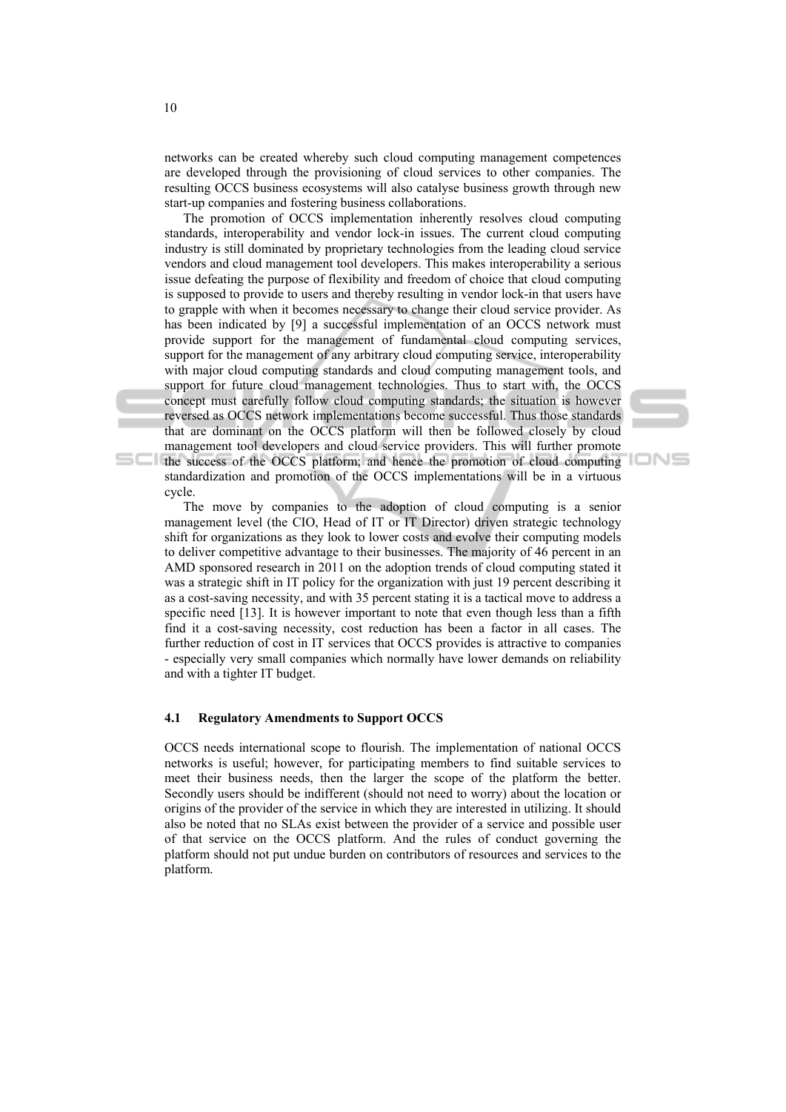networks can be created whereby such cloud computing management competences are developed through the provisioning of cloud services to other companies. The resulting OCCS business ecosystems will also catalyse business growth through new start-up companies and fostering business collaborations.

The promotion of OCCS implementation inherently resolves cloud computing standards, interoperability and vendor lock-in issues. The current cloud computing industry is still dominated by proprietary technologies from the leading cloud service vendors and cloud management tool developers. This makes interoperability a serious issue defeating the purpose of flexibility and freedom of choice that cloud computing is supposed to provide to users and thereby resulting in vendor lock-in that users have to grapple with when it becomes necessary to change their cloud service provider. As has been indicated by [9] a successful implementation of an OCCS network must provide support for the management of fundamental cloud computing services, support for the management of any arbitrary cloud computing service, interoperability with major cloud computing standards and cloud computing management tools, and support for future cloud management technologies. Thus to start with, the OCCS concept must carefully follow cloud computing standards; the situation is however reversed as OCCS network implementations become successful. Thus those standards that are dominant on the OCCS platform will then be followed closely by cloud management tool developers and cloud service providers. This will further promote  $\Box$  the success of the OCCS platform; and hence the promotion of cloud computing

standardization and promotion of the OCCS implementations will be in a virtuous cycle.

The move by companies to the adoption of cloud computing is a senior management level (the CIO, Head of IT or IT Director) driven strategic technology shift for organizations as they look to lower costs and evolve their computing models to deliver competitive advantage to their businesses. The majority of 46 percent in an AMD sponsored research in 2011 on the adoption trends of cloud computing stated it was a strategic shift in IT policy for the organization with just 19 percent describing it as a cost-saving necessity, and with 35 percent stating it is a tactical move to address a specific need [13]. It is however important to note that even though less than a fifth find it a cost-saving necessity, cost reduction has been a factor in all cases. The further reduction of cost in IT services that OCCS provides is attractive to companies - especially very small companies which normally have lower demands on reliability and with a tighter IT budget.

## **4.1 Regulatory Amendments to Support OCCS**

OCCS needs international scope to flourish. The implementation of national OCCS networks is useful; however, for participating members to find suitable services to meet their business needs, then the larger the scope of the platform the better. Secondly users should be indifferent (should not need to worry) about the location or origins of the provider of the service in which they are interested in utilizing. It should also be noted that no SLAs exist between the provider of a service and possible user of that service on the OCCS platform. And the rules of conduct governing the platform should not put undue burden on contributors of resources and services to the platform.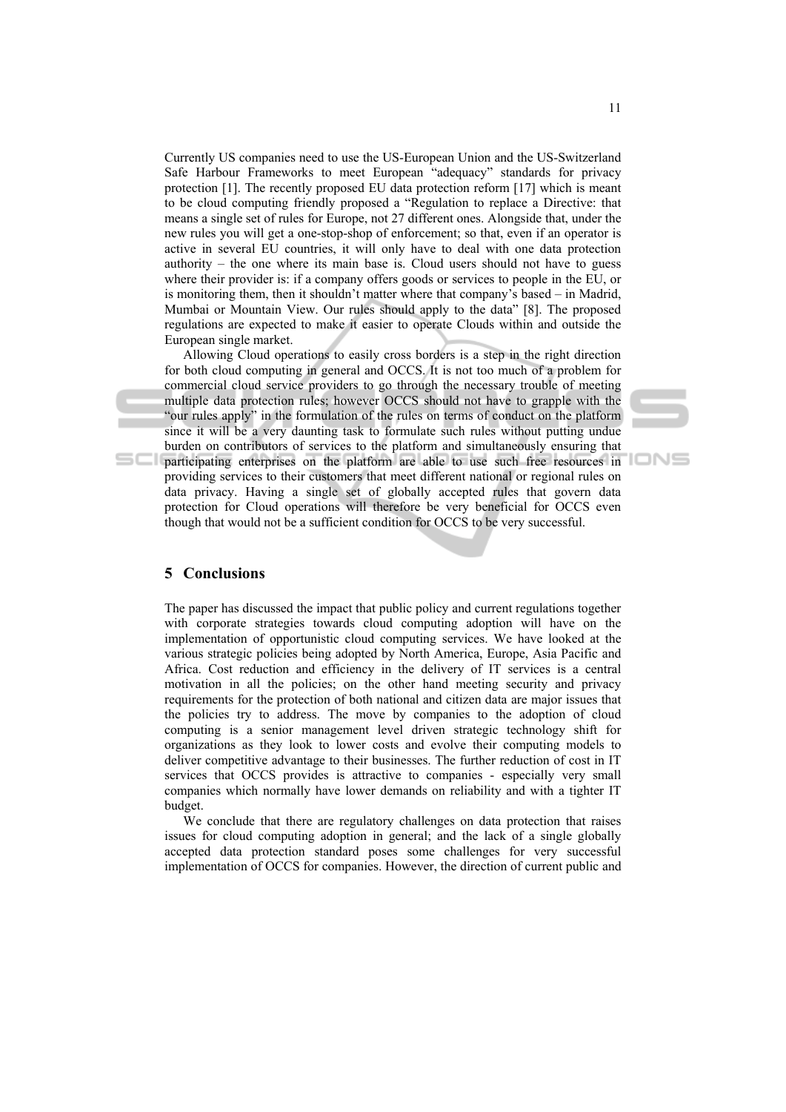Currently US companies need to use the US-European Union and the US-Switzerland Safe Harbour Frameworks to meet European "adequacy" standards for privacy protection [1]. The recently proposed EU data protection reform [17] which is meant to be cloud computing friendly proposed a "Regulation to replace a Directive: that means a single set of rules for Europe, not 27 different ones. Alongside that, under the new rules you will get a one-stop-shop of enforcement; so that, even if an operator is active in several EU countries, it will only have to deal with one data protection authority – the one where its main base is. Cloud users should not have to guess where their provider is: if a company offers goods or services to people in the EU, or is monitoring them, then it shouldn't matter where that company's based – in Madrid, Mumbai or Mountain View. Our rules should apply to the data" [8]. The proposed regulations are expected to make it easier to operate Clouds within and outside the European single market.

Allowing Cloud operations to easily cross borders is a step in the right direction for both cloud computing in general and OCCS. It is not too much of a problem for commercial cloud service providers to go through the necessary trouble of meeting multiple data protection rules; however OCCS should not have to grapple with the "our rules apply" in the formulation of the rules on terms of conduct on the platform since it will be a very daunting task to formulate such rules without putting undue burden on contributors of services to the platform and simultaneously ensuring that

participating enterprises on the platform are able to use such free resources in providing services to their customers that meet different national or regional rules on data privacy. Having a single set of globally accepted rules that govern data protection for Cloud operations will therefore be very beneficial for OCCS even though that would not be a sufficient condition for OCCS to be very successful.

# **5 Conclusions**

 $=$  $-1$ 

The paper has discussed the impact that public policy and current regulations together with corporate strategies towards cloud computing adoption will have on the implementation of opportunistic cloud computing services. We have looked at the various strategic policies being adopted by North America, Europe, Asia Pacific and Africa. Cost reduction and efficiency in the delivery of IT services is a central motivation in all the policies; on the other hand meeting security and privacy requirements for the protection of both national and citizen data are major issues that the policies try to address. The move by companies to the adoption of cloud computing is a senior management level driven strategic technology shift for organizations as they look to lower costs and evolve their computing models to deliver competitive advantage to their businesses. The further reduction of cost in IT services that OCCS provides is attractive to companies - especially very small companies which normally have lower demands on reliability and with a tighter IT budget.

We conclude that there are regulatory challenges on data protection that raises issues for cloud computing adoption in general; and the lack of a single globally accepted data protection standard poses some challenges for very successful implementation of OCCS for companies. However, the direction of current public and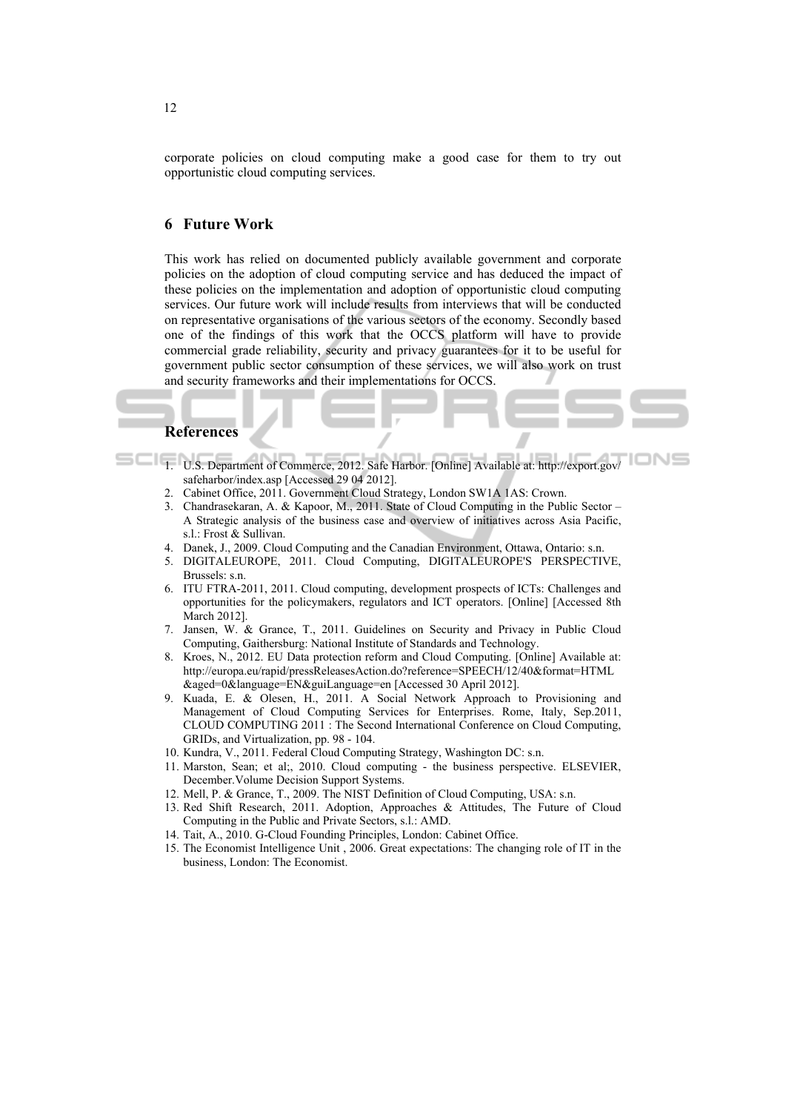corporate policies on cloud computing make a good case for them to try out opportunistic cloud computing services.

# **6 Future Work**

This work has relied on documented publicly available government and corporate policies on the adoption of cloud computing service and has deduced the impact of these policies on the implementation and adoption of opportunistic cloud computing services. Our future work will include results from interviews that will be conducted on representative organisations of the various sectors of the economy. Secondly based one of the findings of this work that the OCCS platform will have to provide commercial grade reliability, security and privacy guarantees for it to be useful for government public sector consumption of these services, we will also work on trust and security frameworks and their implementations for OCCS.

# **References**

1. U.S. Department of Commerce, 2012. Safe Harbor. [Online] Available at: http://export.gov/ safeharbor/index.asp [Accessed 29 04 2012].

- 2. Cabinet Office, 2011. Government Cloud Strategy, London SW1A 1AS: Crown.
- 3. Chandrasekaran, A. & Kapoor, M., 2011. State of Cloud Computing in the Public Sector A Strategic analysis of the business case and overview of initiatives across Asia Pacific, s.l.: Frost & Sullivan.
- 4. Danek, J., 2009. Cloud Computing and the Canadian Environment, Ottawa, Ontario: s.n.
- 5. DIGITALEUROPE, 2011. Cloud Computing, DIGITALEUROPE'S PERSPECTIVE, Brussels: s.n.
- 6. ITU FTRA-2011, 2011. Cloud computing, development prospects of ICTs: Challenges and opportunities for the policymakers, regulators and ICT operators. [Online] [Accessed 8th March 2012].
- 7. Jansen, W. & Grance, T., 2011. Guidelines on Security and Privacy in Public Cloud Computing, Gaithersburg: National Institute of Standards and Technology.
- 8. Kroes, N., 2012. EU Data protection reform and Cloud Computing. [Online] Available at: http://europa.eu/rapid/pressReleasesAction.do?reference=SPEECH/12/40&format=HTML &aged=0&language=EN&guiLanguage=en [Accessed 30 April 2012].
- 9. Kuada, E. & Olesen, H., 2011. A Social Network Approach to Provisioning and Management of Cloud Computing Services for Enterprises. Rome, Italy, Sep.2011, CLOUD COMPUTING 2011 : The Second International Conference on Cloud Computing, GRIDs, and Virtualization, pp. 98 - 104.
- 10. Kundra, V., 2011. Federal Cloud Computing Strategy, Washington DC: s.n.
- 11. Marston, Sean; et al;, 2010. Cloud computing the business perspective. ELSEVIER, December.Volume Decision Support Systems.
- 12. Mell, P. & Grance, T., 2009. The NIST Definition of Cloud Computing, USA: s.n.
- 13. Red Shift Research, 2011. Adoption, Approaches & Attitudes, The Future of Cloud Computing in the Public and Private Sectors, s.l.: AMD.
- 14. Tait, A., 2010. G-Cloud Founding Principles, London: Cabinet Office.
- 15. The Economist Intelligence Unit , 2006. Great expectations: The changing role of IT in the business, London: The Economist.